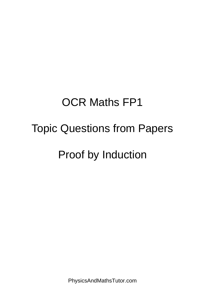## OCR Maths FP1

## Topic Questions from Papers

## Proof by Induction

PhysicsAndMathsTutor.com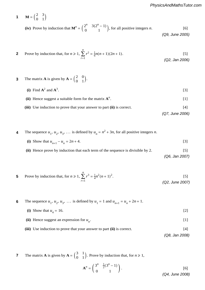**(iv)** Prove by induction that  $M^n = \begin{pmatrix} 2^n & 3(2^n - 1) \\ 0 & 1 \end{pmatrix}$ , for all positive integers *n*. [6] **1**  $M = \begin{pmatrix} 2 & 3 \\ 0 & 1 \end{pmatrix}$ **(iv)** Prove by induction that **<sup>M</sup>***<sup>n</sup>* <sup>=</sup> # <sup>2</sup>*<sup>n</sup>* <sup>3</sup>(2*<sup>n</sup>* <sup>−</sup> <sup>1</sup>) 0 1 \$, for all positive integers *<sup>n</sup>*. [6] *(Q9, June 2005)*  $(2^n - 3(2^n - 1))$  Express for indepting that  $\mathbb{Z}^n$   $(2^n - 3(2^n - 1))$  for all positive integers.  $( Q9, June 2003 )$ *n* ∑ *r* and *n <u>r</u>* 

PMT **2** Prove by induction that, for 
$$
n \ge 1
$$
,  $\sum_{r=1}^{n} r^2 = \frac{1}{6}n(n+1)(2n+1)$ . (92, Jan 2006)

3 The matrix **A** is given by 
$$
\mathbf{A} = \begin{pmatrix} 2 & 0 \ 0 & 1 \end{pmatrix}
$$
.  
\n(i) Find  $\mathbf{A}^2$  and  $\mathbf{A}^3$ . [3]  
\n(ii) Hence suggest a suitable form for the matrix  $\mathbf{A}^n$ . [1]  
\n(iii) Use induction to prove that your answer to part (ii) is correct. [4] (Q7, June 2006)

**PMT**  
\n**4** The sequence 
$$
u_1, u_2, u_3, ...
$$
 is defined by  $u_n = n^2 + 3n$ , for all positive integers *n*.  
\n**PMT**  
\n**(i)** Show that  $u_{n+1} - u_n = 2n + 4$ . [3]

*PMT*

(ii) Hence prove by induction that each term of the sequence is divisible by 2. 
$$
(Q6, Jan 2007)
$$

5 Prove by induction that, for 
$$
n \ge 1
$$
,  $\sum_{r=1}^{n} r^3 = \frac{1}{4}n^2(n+1)^2$ . [5] (Q2, June 2007)

**(ii)** Given that **<sup>C</sup>** <sup>=</sup> **AB**, where **<sup>A</sup>** <sup>=</sup> # 2 1 1 3 \$, find **<sup>B</sup>**−<sup>1</sup> ∑ *r*=1 **6** The sequence  $u_1, u_2, u_3, \ldots$  is defined by  $u_1 = 1$  and  $u_{n+1} = u_n + 2n + 1$ . **6**  $\frac{1}{2}$  arguments  $\frac{1}{2}$  arguments  $\frac{1}{2}$  arguments  $\frac{1}{2}$ 

(i) Show that  $u_4 = 16$ . [2] [2]  $[2]$  $u_4 = 16.$  $\mathbf{r} = \mathbf{r}$ 

 $\mathcal{L}$  and  $\mathcal{L}$  are the set of the set of the set of the set of the set of the set of the set of the set of the set of the set of the set of the set of the set of the set of the set of the set of the set of the set

(ii) Hence suggest an expression for  $u_n$ . [1]  $\sum_{n=1}^{\infty}$  $\begin{bmatrix} 1 \end{bmatrix}$ 

Use induction to prove that your answer to part  $(\mathbf{u})$  is correct. <sup>2</sup> <sup>+</sup> 3*r* <sup>+</sup> 1. [2] *(Q8, Jan 2008)* . [4] **4** (iii) Use induction to prove that your answer to part (ii) is correct. [4]<br>(3)  $(0.8 \text{ Jan } 2008)$ 

**(c)** Sketch, on an Argand diagram, the locus given by |\$ + 1|=|\$|. [2] *r*=1 ∑ *r* <sup>2</sup> <sup>=</sup> <sup>1</sup> *n*(*n* + 1)(2*n* + 1). [6] The matrix **A** is given by  $\mathbf{A} = \begin{pmatrix} 3 & 1 \\ 0 & 1 \end{pmatrix}$ . Prov Fix matrix A is given by  $\frac{3}{5}$   $\frac{1}{2}$  Drawn by induction that  $f_{\text{SUS}} > 1$ **7** The matrix **A** is given by  $A = \begin{pmatrix} 3 & 1 \\ 0 & 1 \end{pmatrix}$ . Prove by induction that, for  $n \ge 1$ , **7**

$$
A^{n} = \begin{pmatrix} 3^{n} & \frac{1}{2}(3^{n} - 1) \\ 0 & 1 \end{pmatrix}.
$$
 [6]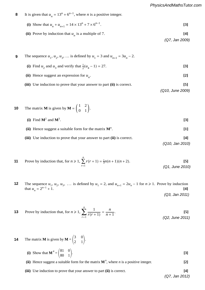8 It is given that 
$$
u_n = 13^n + 6^{n-1}
$$
, where *n* is a positive integer.

(i) Show that 
$$
u_n + u_{n+1} = 14 \times 13^n + 7 \times 6^{n-1}
$$
. [3]

(ii) Prove by induction that 
$$
u_n
$$
 is a multiple of 7. [4]

*(Q7, Jan 2009)*

| 9 | The sequence $u_1, u_2, u_3, $ is defined by $u_1 = 3$ and $u_{n+1} = 3u_n - 2$ . |                     |
|---|-----------------------------------------------------------------------------------|---------------------|
|   | (i) Find $u_2$ and $u_3$ and verify that $\frac{1}{2}(u_4 - 1) = 27$ .            | 131                 |
|   | (ii) Hence suggest an expression for $u_n$ .                                      | $\lfloor 2 \rfloor$ |
|   | (iii) Use induction to prove that your answer to part (ii) is correct.            | [5]                 |
|   |                                                                                   | (Q10, June 2009)    |

\n- **10** The matrix **M** is given by 
$$
\mathbf{M} = \begin{pmatrix} 1 & 2 \\ 0 & 1 \end{pmatrix}
$$
.
\n- (i) Find  $\mathbf{M}^2$  and  $\mathbf{M}^3$ .
\n- (ii) Hence suggest a suitable form for the matrix  $\mathbf{M}^n$ .
\n- (iii) Use induction to prove that your answer to part (ii) is correct.
\n

 $\alpha$  iv, ban  $\alpha$  by  $\alpha$ *(Q10, Jan 2010)* **3** Use an algebraic method to find the square roots of 3 + (6 2)i. Give your answers in the form *x* + i*y*, where

## *PMT*

*PMT*

*PMT*

*PMT*

11 Prove by induction that, for 
$$
n \ge 1
$$
,  $\sum_{r=1}^{n} r(r+1) = \frac{1}{3}n(n+1)(n+2)$ . (Q1, June 2010)

**2** The sequence  $u_1, u_2, u_3, ...$  is defined by  $u_1 = 2$ , and  $u_{n+1} = 2u_n - 1$  for  $n \ge 1$ . Prove l  $\frac{1}{n}$  **(i)**  $\frac{1}{n}$  (i)  $\frac{1}{n}$  (i)  $\frac{1}{n}$  (i)  $\frac{1}{n}$  (i)  $\frac{1}{n}$  (i)  $\frac{1}{n}$  (i)  $\frac{1}{n}$  (i)  $\frac{1}{n}$  (i)  $\frac{1}{n}$  (i)  $\frac{1}{n}$  (i)  $\frac{1}{n}$  (i)  $\frac{1}{n}$  (i)  $\frac{1}{n}$  (i)  $\frac{1}{n}$  (i)  $\frac{1}{n}$ **3** The sequence  $u_1, u_2, u_3, \ldots$  is defined by  $u_1 = 2$ , and  $u_{n+1} = 2u_n - 1$  for  $n \ge 1$ . Prove by induction that  $u_n = 2^{n-1} + 1$ . **[4] 12**  $\mathbf{r}$ that  $u_n = 2^{n-1} + 1$ . [4]

 $(Q3,$  Jan 2011)

13 Prove by induction that, for 
$$
n \ge 1
$$
,  $\sum_{r=1}^{n} \frac{1}{r(r+1)} = \frac{n}{n+1}$ . [5] (Q2, June 2011)

14 The matrix **M** is given by 
$$
\mathbf{M} = \begin{pmatrix} 3 & 0 \\ 2 & 1 \end{pmatrix}
$$
.  
\n(i) Show that  $\mathbf{M}^4 = \begin{pmatrix} 81 & 0 \\ 80 & 1 \end{pmatrix}$ .

(ii) Hence suggest a suitable form for the matrix  $M^n$ , where *n* is a positive integer. [2]

**5 (iii)** Use induction to prove that your answer to part (ii) is correct.  $\frac{1}{2}$  and  $\frac{1}{2}$  and  $\frac{1}{2}$  is to the set of  $\frac{1}{2}$ ∑  $\bigcup$  S<sub>t</sub> **(iii)** Use induction to prove that your answer to part **(ii)** is correct. **[4]** 

**(b)** Describe fully the geometrical transformation represented by each of the following matrices: <sup>4</sup><sup>π</sup>. **[3]** *(Q7, Jan 2012)*